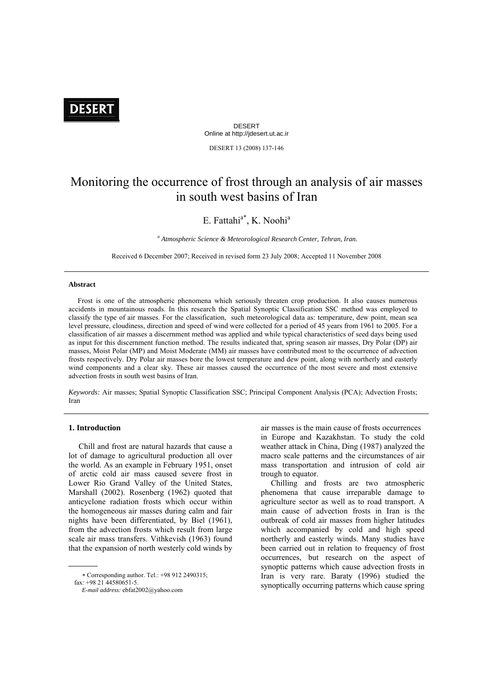# **DESERT**

DESERT Online at http://jdesert.ut.ac.ir

DESERT 13 (2008) 137-146

## Monitoring the occurrence of frost through an analysis of air masses in south west basins of Iran

## E. Fattahi<sup>a\*</sup>, K. Noohi<sup>a</sup>

<sup>a</sup> Atmospheric Science & Meteorological Research Center, Tehran, Iran.

Received 6 December 2007; Received in revised form 23 July 2008; Accepted 11 November 2008

#### **Abstract**

 Frost is one of the atmospheric phenomena which seriously threaten crop production. It also causes numerous accidents in mountainous roads. In this research the Spatial Synoptic Classification SSC method was employed to classify the type of air masses. For the classification, such meteorological data as: temperature, dew point, mean sea level pressure, cloudiness, direction and speed of wind were collected for a period of 45 years from 1961 to 2005. For a classification of air masses a discernment method was applied and while typical characteristics of seed days being used as input for this discernment function method. The results indicated that, spring season air masses, Dry Polar (DP) air masses, Moist Polar (MP) and Moist Moderate (MM) air masses have contributed most to the occurrence of advection frosts respectively. Dry Polar air masses bore the lowest temperature and dew point, along with northerly and easterly wind components and a clear sky. These air masses caused the occurrence of the most severe and most extensive advection frosts in south west basins of Iran.

*Keywords:* Air masses; Spatial Synoptic Classification SSC; Principal Component Analysis (PCA); Advection Frosts; Iran

## **1. Introduction**

1

 Chill and frost are natural hazards that cause a lot of damage to agricultural production all over the world. As an example in February 1951, onset of arctic cold air mass caused severe frost in Lower Rio Grand Valley of the United States, Marshall (2002). Rosenberg (1962) quoted that anticyclone radiation frosts which occur within the homogeneous air masses during calm and fair nights have been differentiated, by Biel (1961), from the advection frosts which result from large scale air mass transfers. Vithkevish (1963) found that the expansion of north westerly cold winds by

 ∗ Corresponding author. Tel.: +98 912 2490315; fax: +98 21 44580651-5.

air masses is the main cause of frosts occurrences in Europe and Kazakhstan. To study the cold weather attack in China, Ding (1987) analyzed the macro scale patterns and the circumstances of air mass transportation and intrusion of cold air trough to equator.

 Chilling and frosts are two atmospheric phenomena that cause irreparable damage to agriculture sector as well as to road transport. A main cause of advection frosts in Iran is the outbreak of cold air masses from higher latitudes which accompanied by cold and high speed northerly and easterly winds. Many studies have been carried out in relation to frequency of frost occurrences, but research on the aspect of synoptic patterns which cause advection frosts in Iran is very rare. Baraty (1996) studied the synoptically occurring patterns which cause spring

*E-mail address:* ebfat2002@yahoo.com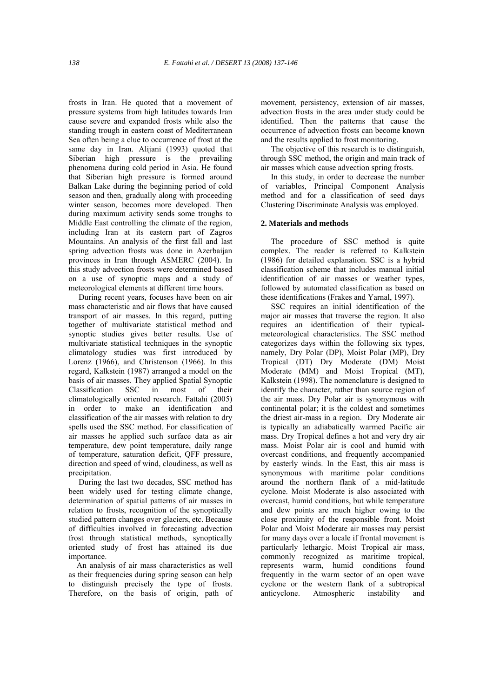frosts in Iran. He quoted that a movement of pressure systems from high latitudes towards Iran cause severe and expanded frosts while also the standing trough in eastern coast of Mediterranean Sea often being a clue to occurrence of frost at the same day in Iran. Alijani (1993) quoted that Siberian high pressure is the prevailing phenomena during cold period in Asia. He found that Siberian high pressure is formed around Balkan Lake during the beginning period of cold season and then, gradually along with proceeding winter season, becomes more developed. Then during maximum activity sends some troughs to Middle East controlling the climate of the region, including Iran at its eastern part of Zagros Mountains. An analysis of the first fall and last spring advection frosts was done in Azerbaijan provinces in Iran through ASMERC (2004). In this study advection frosts were determined based on a use of synoptic maps and a study of meteorological elements at different time hours.

 During recent years, focuses have been on air mass characteristic and air flows that have caused transport of air masses. In this regard, putting together of multivariate statistical method and synoptic studies gives better results. Use of multivariate statistical techniques in the synoptic climatology studies was first introduced by Lorenz (1966), and Christenson (1966). In this regard, Kalkstein (1987) arranged a model on the basis of air masses. They applied Spatial Synoptic Classification SSC in most of their climatologically oriented research. Fattahi (2005) in order to make an identification and classification of the air masses with relation to dry spells used the SSC method. For classification of air masses he applied such surface data as air temperature, dew point temperature, daily range of temperature, saturation deficit, QFF pressure, direction and speed of wind, cloudiness, as well as precipitation.

 During the last two decades, SSC method has been widely used for testing climate change, determination of spatial patterns of air masses in relation to frosts, recognition of the synoptically studied pattern changes over glaciers, etc. Because of difficulties involved in forecasting advection frost through statistical methods, synoptically oriented study of frost has attained its due importance.

 An analysis of air mass characteristics as well as their frequencies during spring season can help to distinguish precisely the type of frosts. Therefore, on the basis of origin, path of movement, persistency, extension of air masses, advection frosts in the area under study could be identified. Then the patterns that cause the occurrence of advection frosts can become known and the results applied to frost monitoring.

 The objective of this research is to distinguish, through SSC method, the origin and main track of air masses which cause advection spring frosts.

 In this study, in order to decrease the number of variables, Principal Component Analysis method and for a classification of seed days Clustering Discriminate Analysis was employed.

## **2. Materials and methods**

 The procedure of SSC method is quite complex. The reader is referred to Kalkstein (1986) for detailed explanation. SSC is a hybrid classification scheme that includes manual initial identification of air masses or weather types, followed by automated classification as based on these identifications (Frakes and Yarnal, 1997).

 SSC requires an initial identification of the major air masses that traverse the region. It also requires an identification of their typicalmeteorological characteristics. The SSC method categorizes days within the following six types, namely, Dry Polar (DP), Moist Polar (MP), Dry Tropical (DT) Dry Moderate (DM) Moist Moderate (MM) and Moist Tropical (MT), Kalkstein (1998). The nomenclature is designed to identify the character, rather than source region of the air mass. Dry Polar air is synonymous with continental polar; it is the coldest and sometimes the driest air-mass in a region. Dry Moderate air is typically an adiabatically warmed Pacific air mass. Dry Tropical defines a hot and very dry air mass. Moist Polar air is cool and humid with overcast conditions, and frequently accompanied by easterly winds. In the East, this air mass is synonymous with maritime polar conditions around the northern flank of a mid-latitude cyclone. Moist Moderate is also associated with overcast, humid conditions, but while temperature and dew points are much higher owing to the close proximity of the responsible front. Moist Polar and Moist Moderate air masses may persist for many days over a locale if frontal movement is particularly lethargic. Moist Tropical air mass, commonly recognized as maritime tropical, represents warm, humid conditions found frequently in the warm sector of an open wave cyclone or the western flank of a subtropical anticyclone. Atmospheric instability and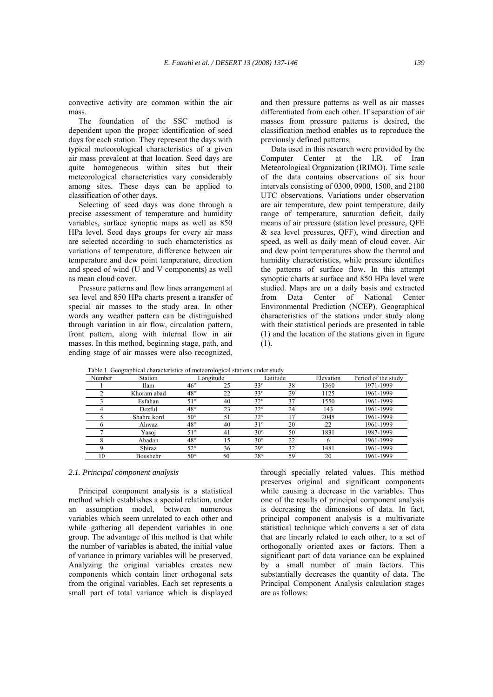convective activity are common within the air mass.

 The foundation of the SSC method is dependent upon the proper identification of seed days for each station. They represent the days with typical meteorological characteristics of a given air mass prevalent at that location. Seed days are quite homogeneous within sites but their meteorological characteristics vary considerably among sites. These days can be applied to classification of other days.

 Selecting of seed days was done through a precise assessment of temperature and humidity variables, surface synoptic maps as well as 850 HPa level. Seed days groups for every air mass are selected according to such characteristics as variations of temperature, difference between air temperature and dew point temperature, direction and speed of wind (U and V components) as well as mean cloud cover.

 Pressure patterns and flow lines arrangement at sea level and 850 HPa charts present a transfer of special air masses to the study area. In other words any weather pattern can be distinguished through variation in air flow, circulation pattern, front pattern, along with internal flow in air masses. In this method, beginning stage, path, and ending stage of air masses were also recognized,

and then pressure patterns as well as air masses differentiated from each other. If separation of air masses from pressure patterns is desired, the classification method enables us to reproduce the previously defined patterns.

 Data used in this research were provided by the Computer Center at the I.R. of Iran Meteorological Organization (IRIMO). Time scale of the data contains observations of six hour intervals consisting of 0300, 0900, 1500, and 2100 UTC observations. Variations under observation are air temperature, dew point temperature, daily range of temperature, saturation deficit, daily means of air pressure (station level pressure, QFE & sea level pressures, QFF), wind direction and speed, as well as daily mean of cloud cover. Air and dew point temperatures show the thermal and humidity characteristics, while pressure identifies the patterns of surface flow. In this attempt synoptic charts at surface and 850 HPa level were studied. Maps are on a daily basis and extracted from Data Center of National Center Environmental Prediction (NCEP). Geographical characteristics of the stations under study along with their statistical periods are presented in table (1) and the location of the stations given in figure (1).

| Number | Station     | I able 1. Geographical characteristics of meteorological stations under study<br>Longitude |                 | Latitude     |                 | Elevation | Period of the study |  |
|--------|-------------|--------------------------------------------------------------------------------------------|-----------------|--------------|-----------------|-----------|---------------------|--|
|        | Ilam        | $46^{\circ}$                                                                               | $25^\circ$      | $33^\circ$   | 38 <sup>7</sup> | 1360      | 1971-1999           |  |
|        | Khoram abad | $48^{\circ}$                                                                               | $22^{\degree}$  | $33^\circ$   | 29 <sup>7</sup> | 1125      | 1961-1999           |  |
|        | Esfahan     | $51^\circ$                                                                                 | 40 <sup>7</sup> | $32^{\circ}$ | 37              | 1550      | 1961-1999           |  |
|        | Dezful      | $48^{\circ}$                                                                               | $23^{\degree}$  | $32^{\circ}$ | 24 <sup>7</sup> | 143       | 1961-1999           |  |
|        | Shahre kord | $50^{\circ}$                                                                               | 51              | $32^{\circ}$ | 17              | 2045      | 1961-1999           |  |
|        | Ahwaz       | $48^{\circ}$                                                                               | 40 <sup>7</sup> | $31^\circ$   | $20^\circ$      | 22        | 1961-1999           |  |
|        | Yasoi       | $51^\circ$                                                                                 | 41              | $30^\circ$   | $50^\circ$      | 1831      | 1987-1999           |  |
|        | Abadan      | $48^{\circ}$                                                                               | $15^\circ$      | $30^\circ$   | $22^{\degree}$  | 6         | 1961-1999           |  |
|        | Shiraz      | $52^{\circ}$                                                                               | 36 <sup>2</sup> | $29^\circ$   | $32^{\degree}$  | 1481      | 1961-1999           |  |
| 10     | Boushehr    | $50^{\circ}$                                                                               | 50              | $28^{\circ}$ | 59              | 20        | 1961-1999           |  |

Table 1. Geographical characteristics of meteorological stations under study

#### *2.1. Principal component analysis*

 Principal component analysis is a statistical method which establishes a special relation, under an assumption model, between numerous variables which seem unrelated to each other and while gathering all dependent variables in one group. The advantage of this method is that while the number of variables is abated, the initial value of variance in primary variables will be preserved. Analyzing the original variables creates new components which contain liner orthogonal sets from the original variables. Each set represents a small part of total variance which is displayed

through specially related values. This method preserves original and significant components while causing a decrease in the variables. Thus one of the results of principal component analysis is decreasing the dimensions of data. In fact, principal component analysis is a multivariate statistical technique which converts a set of data that are linearly related to each other, to a set of orthogonally oriented axes or factors. Then a significant part of data variance can be explained by a small number of main factors. This substantially decreases the quantity of data. The Principal Component Analysis calculation stages are as follows: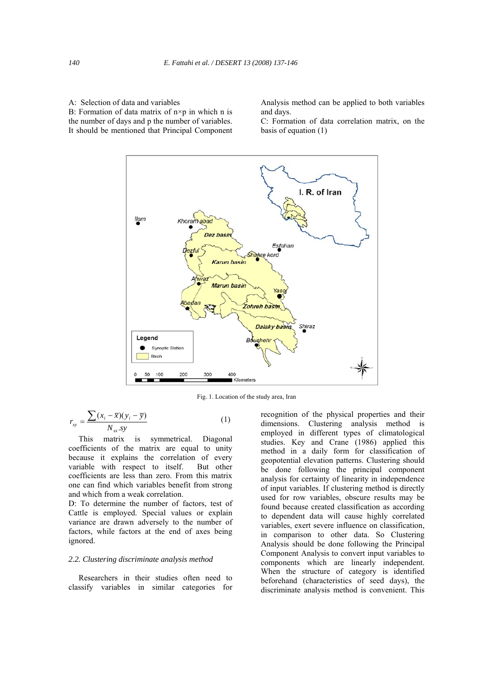A: Selection of data and variables B: Formation of data matrix of  $n \times p$  in which n is the number of days and p the number of variables. It should be mentioned that Principal Component Analysis method can be applied to both variables and days.

C: Formation of data correlation matrix, on the basis of equation (1)



Fig. 1. Location of the study area, Iran

$$
r_{xy} = \frac{\sum (x_i - \overline{x})(y_i - \overline{y})}{N_{xx}.sy}
$$
 (1)

 This matrix is symmetrical. Diagonal coefficients of the matrix are equal to unity because it explains the correlation of every variable with respect to itself. But other coefficients are less than zero. From this matrix one can find which variables benefit from strong and which from a weak correlation.

D: To determine the number of factors, test of Cattle is employed. Special values or explain variance are drawn adversely to the number of factors, while factors at the end of axes being ignored.

## *2.2. Clustering discriminate analysis method*

 Researchers in their studies often need to classify variables in similar categories for recognition of the physical properties and their dimensions. Clustering analysis method is employed in different types of climatological studies. Key and Crane (1986) applied this method in a daily form for classification of geopotential elevation patterns. Clustering should be done following the principal component analysis for certainty of linearity in independence of input variables. If clustering method is directly used for row variables, obscure results may be found because created classification as according to dependent data will cause highly correlated variables, exert severe influence on classification, in comparison to other data. So Clustering Analysis should be done following the Principal Component Analysis to convert input variables to components which are linearly independent. When the structure of category is identified beforehand (characteristics of seed days), the discriminate analysis method is convenient. This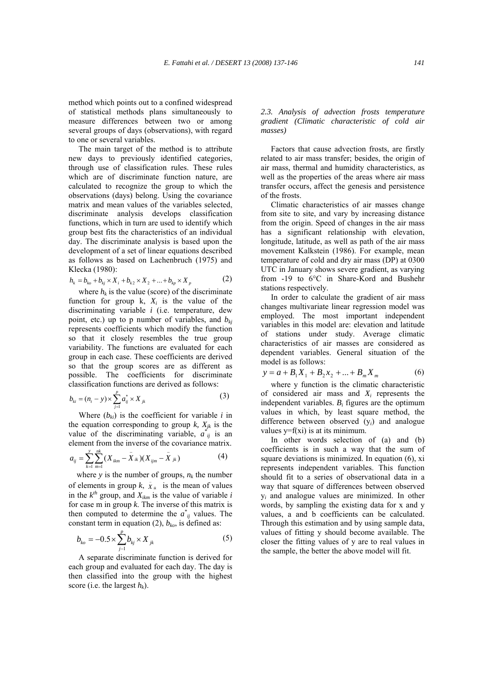method which points out to a confined widespread of statistical methods plans simultaneously to measure differences between two or among several groups of days (observations), with regard to one or several variables.

 The main target of the method is to attribute new days to previously identified categories, through use of classification rules. These rules which are of discriminate function nature, are calculated to recognize the group to which the observations (days) belong. Using the covariance matrix and mean values of the variables selected, discriminate analysis develops classification functions, which in turn are used to identify which group best fits the characteristics of an individual day. The discriminate analysis is based upon the development of a set of linear equations described as follows as based on Lachenbruch (1975) and Klecka (1980):

$$
h_{k} = b_{k0} + b_{kj} \times X_{i} + b_{k2} \times X_{2} + \dots + b_{kp} \times X_{p}
$$
 (2)

where  $h_k$  is the value (score) of the discriminate function for group  $k$ ,  $X_i$  is the value of the discriminating variable *i* (i.e. temperature, dew point, etc.) up to p number of variables, and  $b_{ki}$ represents coefficients which modify the function so that it closely resembles the true group variability. The functions are evaluated for each group in each case. These coefficients are derived so that the group scores are as different as possible. The coefficients for discriminate classification functions are derived as follows:

$$
b_{ki} = (n_t - y) \times \sum_{j=1}^{p} a_{ij}^* \times X_{jk}
$$
 (3)

Where  $(b_{ki})$  is the coefficient for variable *i* in the equation corresponding to group  $k$ ,  $X_{jk}$  is the value of the discriminating variable,  $a_{ij}^*$  is an element from the inverse of the covariance matrix.

$$
a_{ij} = \sum_{k=1}^{y} \sum_{m=1}^{nk} (X_{ikm} - \overline{X}_{ik})(X_{ijm} - \overline{X}_{jk})
$$
(4)

where  $y$  is the number of groups,  $n_k$  the number of elements in group  $k$ ,  $\bar{X}_{ik}$  is the mean of values in the  $k^{th}$  group, and  $X_{ikm}$  is the value of variable *i* for case m in group *k*. The inverse of this matrix is then computed to determine the  $a^*_{ij}$  values. The constant term in equation (2),  $b_{ko}$ , is defined as:

$$
b_{k_o} = -0.5 \times \sum_{j=1}^{p} b_{kj} \times X_{jk}
$$
 (5)

 A separate discriminate function is derived for each group and evaluated for each day. The day is then classified into the group with the highest score (i.e. the largest  $h_k$ ).

*2.3. Analysis of advection frosts temperature gradient (Climatic characteristic of cold air masses)* 

 Factors that cause advection frosts, are firstly related to air mass transfer; besides, the origin of air mass, thermal and humidity characteristics, as well as the properties of the areas where air mass transfer occurs, affect the genesis and persistence of the frosts.

 Climatic characteristics of air masses change from site to site, and vary by increasing distance from the origin. Speed of changes in the air mass has a significant relationship with elevation, longitude, latitude, as well as path of the air mass movement Kalkstein (1986). For example, mean temperature of cold and dry air mass (DP) at 0300 UTC in January shows severe gradient, as varying from -19 to 6°C in Share-Kord and Bushehr stations respectively.

 In order to calculate the gradient of air mass changes multivariate linear regression model was employed. The most important independent variables in this model are: elevation and latitude of stations under study. Average climatic characteristics of air masses are considered as dependent variables. General situation of the model is as follows:

$$
y = a + B_1 X_1 + B_2 X_2 + \dots + B_m X_m \tag{6}
$$

 where y function is the climatic characteristic of considered air mass and *Xi* represents the independent variables.  $B_i$  figures are the optimum values in which, by least square method, the difference between observed (y*i*) and analogue values  $y=f(x)$  is at its minimum.

 In other words selection of (a) and (b) coefficients is in such a way that the sum of square deviations is minimized. In equation (6), xi represents independent variables. This function should fit to a series of observational data in a way that square of differences between observed y*i* and analogue values are minimized. In other words, by sampling the existing data for x and y values, a and b coefficients can be calculated. Through this estimation and by using sample data, values of fitting y should become available. The closer the fitting values of y are to real values in the sample, the better the above model will fit.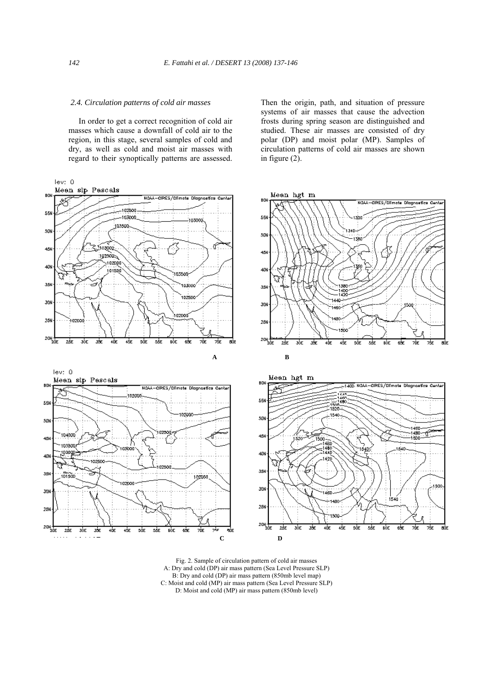#### *2.4. Circulation patterns of cold air masses*

 In order to get a correct recognition of cold air masses which cause a downfall of cold air to the region, in this stage, several samples of cold and dry, as well as cold and moist air masses with regard to their synoptically patterns are assessed. Then the origin, path, and situation of pressure systems of air masses that cause the advection frosts during spring season are distinguished and studied. These air masses are consisted of dry polar (DP) and moist polar (MP). Samples of circulation patterns of cold air masses are shown in figure  $(2)$ .



Fig. 2. Sample of circulation pattern of cold air masses A: Dry and cold (DP) air mass pattern (Sea Level Pressure SLP) B: Dry and cold (DP) air mass pattern (850mb level map) C: Moist and cold (MP) air mass pattern (Sea Level Pressure SLP) D: Moist and cold (MP) air mass pattern (850mb level)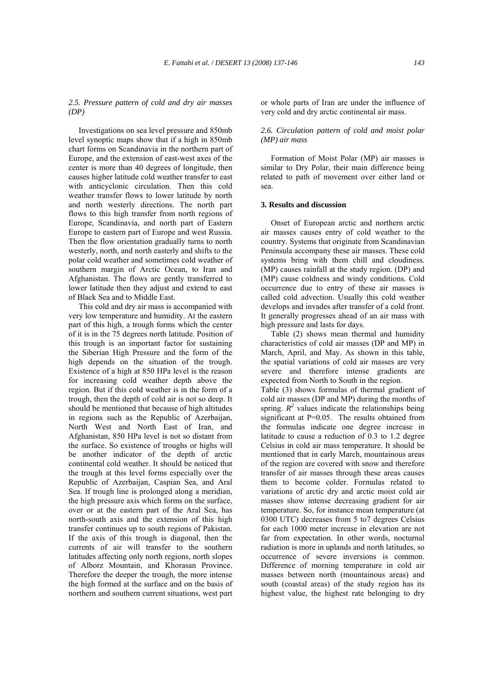*2.5. Pressure pattern of cold and dry air masses (DP)* 

 Investigations on sea level pressure and 850mb level synoptic maps show that if a high in 850mb chart forms on Scandinavia in the northern part of Europe, and the extension of east-west axes of the center is more than 40 degrees of longitude, then causes higher latitude cold weather transfer to east with anticyclonic circulation. Then this cold weather transfer flows to lower latitude by north and north westerly directions. The north part flows to this high transfer from north regions of Europe, Scandinavia, and north part of Eastern Europe to eastern part of Europe and west Russia. Then the flow orientation gradually turns to north westerly, north, and north easterly and shifts to the polar cold weather and sometimes cold weather of southern margin of Arctic Ocean, to Iran and Afghanistan. The flows are gently transferred to lower latitude then they adjust and extend to east of Black Sea and to Middle East.

 This cold and dry air mass is accompanied with very low temperature and humidity. At the eastern part of this high, a trough forms which the center of it is in the 75 degrees north latitude. Position of this trough is an important factor for sustaining the Siberian High Pressure and the form of the high depends on the situation of the trough. Existence of a high at 850 HPa level is the reason for increasing cold weather depth above the region. But if this cold weather is in the form of a trough, then the depth of cold air is not so deep. It should be mentioned that because of high altitudes in regions such as the Republic of Azerbaijan, North West and North East of Iran, and Afghanistan, 850 HPa level is not so distant from the surface. So existence of troughs or highs will be another indicator of the depth of arctic continental cold weather. It should be noticed that the trough at this level forms especially over the Republic of Azerbaijan, Caspian Sea, and Aral Sea. If trough line is prolonged along a meridian, the high pressure axis which forms on the surface, over or at the eastern part of the Aral Sea, has north-south axis and the extension of this high transfer continues up to south regions of Pakistan. If the axis of this trough is diagonal, then the currents of air will transfer to the southern latitudes affecting only north regions, north slopes of Alborz Mountain, and Khorasan Province. Therefore the deeper the trough, the more intense the high formed at the surface and on the basis of northern and southern current situations, west part or whole parts of Iran are under the influence of very cold and dry arctic continental air mass.

## *2.6. Circulation pattern of cold and moist polar (MP) air mass*

 Formation of Moist Polar (MP) air masses is similar to Dry Polar, their main difference being related to path of movement over either land or sea.

## **3. Results and discussion**

 Onset of European arctic and northern arctic air masses causes entry of cold weather to the country. Systems that originate from Scandinavian Peninsula accompany these air masses. These cold systems bring with them chill and cloudiness. (MP) causes rainfall at the study region. (DP) and (MP) cause coldness and windy conditions. Cold occurrence due to entry of these air masses is called cold advection. Usually this cold weather develops and invades after transfer of a cold front. It generally progresses ahead of an air mass with high pressure and lasts for days.

 Table (2) shows mean thermal and humidity characteristics of cold air masses (DP and MP) in March, April, and May. As shown in this table, the spatial variations of cold air masses are very severe and therefore intense gradients are expected from North to South in the region.

Table (3) shows formulas of thermal gradient of cold air masses (DP and MP) during the months of spring.  $R^2$  values indicate the relationships being significant at P=0.05. The results obtained from the formulas indicate one degree increase in latitude to cause a reduction of 0.3 to 1.2 degree Celsius in cold air mass temperature. It should be mentioned that in early March, mountainous areas of the region are covered with snow and therefore transfer of air masses through these areas causes them to become colder. Formulas related to variations of arctic dry and arctic moist cold air masses show intense decreasing gradient for air temperature. So, for instance mean temperature (at 0300 UTC) decreases from 5 to7 degrees Celsius for each 1000 meter increase in elevation are not far from expectation. In other words, nocturnal radiation is more in uplands and north latitudes, so occurrence of severe inversions is common. Difference of morning temperature in cold air masses between north (mountainous areas) and south (coastal areas) of the study region has its highest value, the highest rate belonging to dry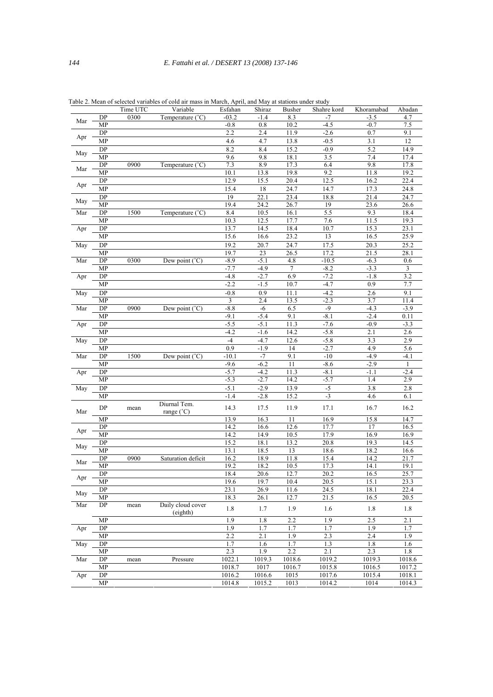|     |                 | Time UTC | Variable                  | Esfahan | Shiraz | Busher | Shahre kord | Khoramabad | Abadan |
|-----|-----------------|----------|---------------------------|---------|--------|--------|-------------|------------|--------|
| Mar | DP              | 0300     | Temperature $(^{\circ}C)$ | $-03.2$ | $-1.4$ | 8.3    | $-7$        | $-3.5$     | 4.7    |
|     | MP              |          |                           | $-0.8$  | 0.8    | 10.2   | $-4.5$      | $-0.7$     | 7.5    |
|     | DP              |          |                           | 2.2     | 2.4    | 11.9   | $-2.6$      | 0.7        | 9.1    |
| Apr | MP              |          |                           | 4.6     | 4.7    | 13.8   | $-0.5$      | 3.1        | 12     |
| May | DP              |          |                           | 8.2     | 8.4    | 15.2   | $-0.9$      | 5.2        | 14.9   |
|     | MP              |          |                           | 9.6     | 9.8    | 18.1   | 3.5         | 7.4        | 17.4   |
|     | DP              | 0900     | Temperature $(^{\circ}C)$ | 7.3     | 8.9    | 17.3   | 6.4         | 9.8        | 17.8   |
| Mar | MP              |          |                           | 10.1    | 13.8   | 19.8   | 9.2         | 11.8       | 19.2   |
|     | DP              |          |                           | 12.9    | 15.5   | 20.4   | 12.5        | 16.2       | 22.4   |
| Apr | <b>MP</b>       |          |                           | 15.4    | 18     | 24.7   | 14.7        | 17.3       | 24.8   |
|     | DP              |          |                           | 19      | 22.1   | 23.4   | 18.8        | 21.4       | 24.7   |
| May | MP              |          |                           | 19.4    | 24.2   | 26.7   | 19          | 23.6       | 26.6   |
| Mar | DP              | 1500     | Temperature $(^{\circ}C)$ | 8.4     | 10.5   | 16.1   | 5.5         | 9.3        | 18.4   |
|     | MP              |          |                           | 10.3    | 12.5   | 17.7   | 7.6         | 11.5       | 19.3   |
| Apr | DP              |          |                           | 13.7    | 14.5   | 18.4   | 10.7        | 15.3       | 23.1   |
|     | MP              |          |                           | 15.6    | 16.6   | 23.2   | 13          | 16.5       | 25.9   |
| May | DP              |          |                           | 19.2    | 20.7   | 24.7   | 17.5        | 20.3       | 25.2   |
|     | MP              |          |                           | 19.7    | 23     |        | 17.2        |            | 28.1   |
|     |                 | 0300     |                           | $-8.9$  |        | 26.5   |             | 21.5       |        |
| Mar | DP              |          | Dew point $(^{\circ}C)$   |         | $-5.1$ | 4.8    | $-10.5$     | $-6.3$     | 0.6    |
|     | MP              |          |                           | $-7.7$  | $-4.9$ | 7      | $-8.2$      | $-3.3$     | 3      |
| Apr | DP              |          |                           | $-4.8$  | $-2.7$ | 6.9    | $-7.2$      | $-1.8$     | 3.2    |
|     | MP              |          |                           | $-2.2$  | $-1.5$ | 10.7   | $-4.7$      | 0.9        | 7.7    |
| May | DP              |          |                           | $-0.8$  | 0.9    | 11.1   | $-4.2$      | 2.6        | 9.1    |
|     | MP              |          |                           | 3       | 2.4    | 13.5   | $-2.3$      | 3.7        | 11.4   |
| Mar | DP              | 0900     | Dew point (<br>'C)        | $-8.8$  | $-6$   | 6.5    | $-9$        | $-4.3$     | $-3.9$ |
|     | MP              |          |                           | $-9.1$  | $-5.4$ | 9.1    | $-8.1$      | $-2.4$     | 0.11   |
| Apr | DP              |          |                           | $-5.5$  | $-5.1$ | 11.3   | $-7.6$      | $-0.9$     | $-3.3$ |
|     | MP              |          |                           | $-4.2$  | $-1.6$ | 14.2   | $-5.8$      | 2.1        | 2.6    |
| May | DP              |          |                           | $-4$    | $-4.7$ | 12.6   | $-5.8$      | 3.3        | 2.9    |
|     | MP              |          |                           | 0.9     | $-1.9$ | 14     | $-2.7$      | 4.9        | 5.6    |
| Mar | DP              | 1500     | Dew point $(^{\circ}C)$   | $-10.1$ | $-7$   | 9.1    | $-10$       | $-4.9$     | $-4.1$ |
|     | MP              |          |                           | $-9.6$  | $-6.2$ | 11     | $-8.6$      | $-2.9$     | 1      |
| Apr | <b>DP</b>       |          |                           | $-5.7$  | $-4.2$ | 11.3   | $-8.1$      | $-1.1$     | $-2.4$ |
|     | MP              |          |                           | $-5.3$  | $-2.7$ | 14.2   | $-5.7$      | 1.4        | 2.9    |
| May | DP              |          |                           | $-5.1$  | $-2.9$ | 13.9   | -5          | 3.8        | 2.8    |
|     | MP              |          |                           | $-1.4$  | $-2.8$ | 15.2   | $-3$        | 4.6        | 6.1    |
|     |                 |          | Diurnal Tem.              |         |        |        |             |            |        |
| Mar | DP              | mean     | range (°C)                | 14.3    | 17.5   | 11.9   | 17.1        | 16.7       | 16.2   |
|     | MP              |          |                           | 13.9    | 16.3   | 11     | 16.9        | 15.8       | 14.7   |
|     | $\overline{DP}$ |          |                           | 14.2    | 16.6   | 12.6   | 17.7        | 17         | 16.5   |
| Apr | MP              |          |                           | 14.2    | 14.9   | 10.5   | 17.9        | 16.9       | 16.9   |
|     | DP              |          |                           | 15.2    | 18.1   | 13.2   | 20.8        | 19.3       | 14.5   |
| May | MP              |          |                           | 13.1    | 18.5   | 13     | 18.6        | 18.2       | 16.6   |
|     | DP              | 0900     | Saturation deficit        | 16.2    | 18.9   | 11.8   | 15.4        | 14.2       | 21.7   |
| Mar | MP              |          |                           | 19.2    | 18.2   | 10.5   | 17.3        | 14.1       | 19.1   |
|     | DP              |          |                           | 18.4    | 20.6   | 12.7   | 20.2        | 16.5       | 25.7   |
| Apr | MP              |          |                           | 19.6    | 19.7   | 10.4   | 20.5        | 15.1       | 23.3   |
|     | DP              |          |                           | 23.1    | 26.9   | 11.6   | 24.5        | 18.1       | 22.4   |
| May | MP              |          |                           | 18.3    | 26.1   | 12.7   | 21.5        | 16.5       | 20.5   |
| Mar | DP              | mean     | Daily cloud cover         |         |        |        |             |            |        |
|     |                 |          | (eighth)                  | 1.8     | 1.7    | 1.9    | 1.6         | 1.8        | 1.8    |
|     | MP              |          |                           | 1.9     | 1.8    | 2.2    | 1.9         | 2.5        | 2.1    |
| Apr | ${\rm DP}$      |          |                           | 1.9     | 1.7    | 1.7    | 1.7         | 1.9        | 1.7    |
|     | MP              |          |                           | 2.2     | 2.1    | 1.9    | 2.3         | 2.4        | 1.9    |
| May | ${\rm DP}$      |          |                           | 1.7     | 1.6    | 1.7    | 1.3         | 1.8        | 1.6    |
|     | MP              |          |                           | 2.3     | 1.9    | 2.2    | $2.1$       | 2.3        | 1.8    |
| Mar | ${\rm DP}$      | mean     | Pressure                  | 1022.1  | 1019.3 | 1018.6 | 1019.2      | 1019.3     | 1018.6 |
|     | MP              |          |                           | 1018.7  | 1017   | 1016.7 | 1015.8      | 1016.5     | 1017.2 |
| Apr | DP              |          |                           | 1016.2  | 1016.6 | 1015   | 1017.6      | 1015.4     | 1018.1 |
|     | MP              |          |                           | 1014.8  | 1015.2 | 1013   | 1014.2      | 1014       | 1014.3 |
|     |                 |          |                           |         |        |        |             |            |        |

Table 2. Mean of selected variables of cold air mass in March, April, and May at stations under study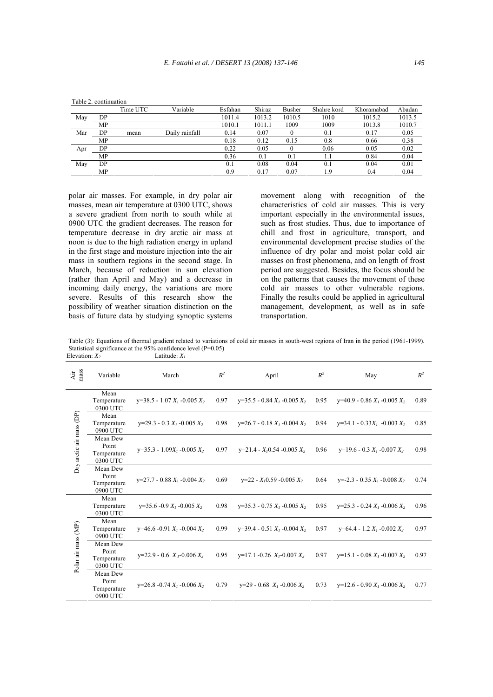|     |    | Time UTC | Variable       | Esfahan | Shiraz | Busher | Shahre kord | Khoramabad | Abadan |
|-----|----|----------|----------------|---------|--------|--------|-------------|------------|--------|
| May | DP |          |                | 1011.4  | 1013.2 | 1010.5 | 1010        | 1015.2     | 1013.5 |
|     | MP |          |                | 1010.1  | 1011.1 | 1009   | 1009        | 1013.8     | 1010.7 |
| Mar | DP | mean     | Daily rainfall | 0.14    | 0.07   |        | 0.1         | 0.17       | 0.05   |
|     | MP |          |                | 0.18    | 0.12   | 0.15   | 0.8         | 0.66       | 0.38   |
| Apr | DP |          |                | 0.22    | 0.05   |        | 0.06        | 0.05       | 0.02   |
|     | MP |          |                | 0.36    | 0.1    | 0.1    |             | 0.84       | 0.04   |
| May | DP |          |                | 0.1     | 0.08   | 0.04   | 0.1         | 0.04       | 0.01   |
|     | MP |          |                | 0.9     | 0.17   | 0.07   | 1.9         | 0.4        | 0.04   |

Table 2. continuation

polar air masses. For example, in dry polar air masses, mean air temperature at 0300 UTC, shows a severe gradient from north to south while at 0900 UTC the gradient decreases. The reason for temperature decrease in dry arctic air mass at noon is due to the high radiation energy in upland in the first stage and moisture injection into the air mass in southern regions in the second stage. In March, because of reduction in sun elevation (rather than April and May) and a decrease in incoming daily energy, the variations are more severe. Results of this research show the possibility of weather situation distinction on the basis of future data by studying synoptic systems

movement along with recognition of the characteristics of cold air masses. This is very important especially in the environmental issues, such as frost studies. Thus, due to importance of chill and frost in agriculture, transport, and environmental development precise studies of the influence of dry polar and moist polar cold air masses on frost phenomena, and on length of frost period are suggested. Besides, the focus should be on the patterns that causes the movement of these cold air masses to other vulnerable regions. Finally the results could be applied in agricultural management, development, as well as in safe transportation.

Table (3): Equations of thermal gradient related to variations of cold air masses in south-west regions of Iran in the period (1961-1999). Statistical significance at the 95% confidence level (P=0.05)<br>Elevation:  $X_i$  Latitude:  $X_i$ Elevation:  $X_2$ <sup> $\overline{X_2}$ </sup>

| Air<br>nass              | Variable                                     | March                           | $R^2$ | April                               |      | May                                 | $R^2$ |
|--------------------------|----------------------------------------------|---------------------------------|-------|-------------------------------------|------|-------------------------------------|-------|
| Dry arctic air mass (DP) | Mean<br>Temperature<br>0300 UTC              | $y=38.5 - 1.07 X_1 - 0.005 X_2$ | 0.97  | $y=35.5 - 0.84 X_1 - 0.005 X_2$     | 0.95 | $y=40.9 - 0.86 X_1 - 0.005 X_2$     | 0.89  |
|                          | Mean<br>Temperature<br>0900 UTC              | $y=29.3 - 0.3 X_1 - 0.005 X_2$  | 0.98  | $y=26.7 - 0.18 X_1 - 0.004 X_2$     | 0.94 | $y=34.1 - 0.33X_1 - 0.003X_2$       | 0.85  |
|                          | Mean Dew<br>Point<br>Temperature<br>0300 UTC | $y=35.3 - 1.09X_1 - 0.005X_2$   | 0.97  | $y=21.4 - X10.54 - 0.005 X2$        | 0.96 | $y=19.6 - 0.3 X_1 - 0.007 X_2$      | 0.98  |
|                          | Mean Dew<br>Point<br>Temperature<br>0900 UTC | $y=27.7 - 0.88 X_1 - 0.004 X_2$ | 0.69  | $y=22 - X10.59 - 0.005 X2$          | 0.64 | $y=$ -2.3 - 0.35 $X_1$ -0.008 $X_2$ | 0.74  |
| Polar air mass (MP)      | Mean<br>Temperature<br>0300 UTC              | $y=35.6 - 0.9 X_1 - 0.005 X_2$  | 0.98  | $v=35.3 - 0.75 X_1 - 0.005 X_2$     | 0.95 | $y=25.3 - 0.24 X_1 - 0.006 X_2$     | 0.96  |
|                          | Mean<br>Temperature<br>0900 UTC              | $y=46.6 - 0.91 X_1 - 0.004 X_2$ | 0.99  | $y=39.4 - 0.51 X_1 - 0.004 X_2$     | 0.97 | $y=64.4 - 1.2 X_1 - 0.002 X_2$      | 0.97  |
|                          | Mean Dew<br>Point<br>Temperature<br>0300 UTC | $y=22.9 - 0.6 X_1 - 0.006 X_2$  | 0.95  | $y=17.1 - 0.26$ $X_1 - 0.007$ $X_2$ | 0.97 | $y=15.1 - 0.08 X_1 - 0.007 X_2$     | 0.97  |
|                          | Mean Dew<br>Point<br>Temperature<br>0900 UTC | $y=26.8 - 0.74 X_1 - 0.006 X_2$ | 0.79  | $y=29 - 0.68 X_1 - 0.006 X_2$       | 0.73 | $y=12.6 - 0.90 X_1 - 0.006 X_2$     | 0.77  |